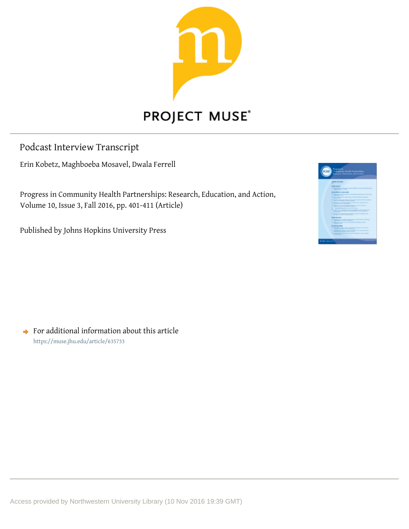

# **PROJECT MUSE®**

## Podcast Interview Transcript

Erin Kobetz, Maghboeba Mosavel, Dwala Ferrell

Progress in Community Health Partnerships: Research, Education, and Action, Volume 10, Issue 3, Fall 2016, pp. 401-411 (Article)

Published by Johns Hopkins University Press

|                         | Progress in<br>Community Health Purtoardisty                                                   |
|-------------------------|------------------------------------------------------------------------------------------------|
| <b>HP</b>               |                                                                                                |
|                         |                                                                                                |
|                         |                                                                                                |
|                         | <b>COMPT STORES</b>                                                                            |
|                         | ۰                                                                                              |
|                         | <b>HEALTHER</b>                                                                                |
|                         | " by a new closed<br><b>Contract Contract</b>                                                  |
|                         | <b>NORTHWEST ATTN: CONTROL</b>                                                                 |
|                         | <b>The Company of the Company</b><br>٠<br><b>And South And The</b><br>-                        |
|                         | ۰<br>Contractor and the second and the contractor of the second complete and the contractor of |
|                         | $\overline{\phantom{a}}$<br><b>Road of Departy Follows Call 20</b><br>-                        |
|                         | William Andrew Company President American Pre-                                                 |
|                         | In the Man Land Control Print,                                                                 |
|                         | <b>Brookly Notice &amp; Las Arrest Assura</b><br>$\sim$                                        |
|                         | all book leg a relations computed and the paper.<br>--                                         |
|                         | We proportion that the brand industry                                                          |
|                         | <b>THE R. P. LEWIS</b>                                                                         |
|                         | IF Departure a Community and Analysis<br>Contract were described and interlocking              |
|                         | <b>PERMITS</b><br><b>Ranch Forest Staff Administration Mine</b>                                |
|                         | <b>GOOD AT SAN</b>                                                                             |
|                         | at beautiful template them benefits to                                                         |
|                         | PT SERVERSTEIN THAN A THIRD                                                                    |
|                         | <b>Rock &amp; Follow Rock of All Lin Motives</b><br><b>THE CA</b>                              |
|                         |                                                                                                |
|                         |                                                                                                |
| <b>NUMBER OF STREET</b> |                                                                                                |
|                         |                                                                                                |

 $\rightarrow$  For additional information about this article https://muse.jhu.edu/article/635733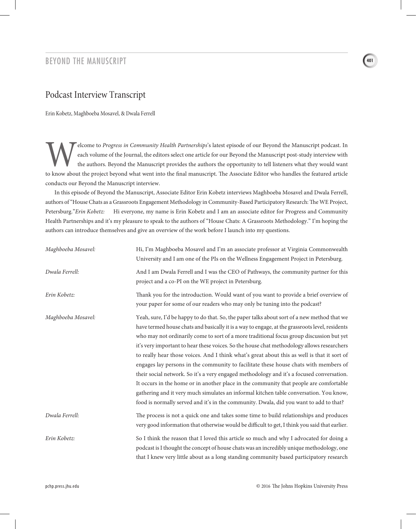#### BEYOND THE MANUSCRIPT

### Podcast Interview Transcript

Erin Kobetz, Maghboeba Mosavel, & Dwala Ferrell

Elcome to *Progress in Community Health Partnerships*'s latest episode of our Beyond the Manuscript podcast. In each volume of the Journal, the editors select one article for our Beyond the Manuscript post-study interview each volume of the Journal, the editors select one article for our Beyond the Manuscript post-study interview with the authors. Beyond the Manuscript provides the authors the opportunity to tell listeners what they would want to know about the project beyond what went into the final manuscript. The Associate Editor who handles the featured article conducts our Beyond the Manuscript interview.

In this episode of Beyond the Manuscript, Associate Editor Erin Kobetz interviews Maghboeba Mosavel and Dwala Ferrell, authors of "House Chats as a Grassroots Engagement Methodology in Community-Based Participatory Research: The WE Project, Petersburg."*Erin Kobetz:* Hi everyone, my name is Erin Kobetz and I am an associate editor for Progress and Community Health Partnerships and it's my pleasure to speak to the authors of "House Chats: A Grassroots Methodology." I'm hoping the authors can introduce themselves and give an overview of the work before I launch into my questions.

| Maghboeba Mosavel: | Hi, I'm Maghboeba Mosavel and I'm an associate professor at Virginia Commonwealth<br>University and I am one of the PIs on the Wellness Engagement Project in Petersburg.                                                                                                                                                                                                                                                                                                                                                                                                                                                                                                                                                                                                                                                                                                                                                                                  |
|--------------------|------------------------------------------------------------------------------------------------------------------------------------------------------------------------------------------------------------------------------------------------------------------------------------------------------------------------------------------------------------------------------------------------------------------------------------------------------------------------------------------------------------------------------------------------------------------------------------------------------------------------------------------------------------------------------------------------------------------------------------------------------------------------------------------------------------------------------------------------------------------------------------------------------------------------------------------------------------|
| Dwala Ferrell:     | And I am Dwala Ferrell and I was the CEO of Pathways, the community partner for this<br>project and a co-PI on the WE project in Petersburg.                                                                                                                                                                                                                                                                                                                                                                                                                                                                                                                                                                                                                                                                                                                                                                                                               |
| Erin Kobetz:       | Thank you for the introduction. Would want of you want to provide a brief overview of<br>your paper for some of our readers who may only be tuning into the podcast?                                                                                                                                                                                                                                                                                                                                                                                                                                                                                                                                                                                                                                                                                                                                                                                       |
| Maghboeba Mosavel: | Yeah, sure, I'd be happy to do that. So, the paper talks about sort of a new method that we<br>have termed house chats and basically it is a way to engage, at the grassroots level, residents<br>who may not ordinarily come to sort of a more traditional focus group discussion but yet<br>it's very important to hear these voices. So the house chat methodology allows researchers<br>to really hear those voices. And I think what's great about this as well is that it sort of<br>engages lay persons in the community to facilitate these house chats with members of<br>their social network. So it's a very engaged methodology and it's a focused conversation.<br>It occurs in the home or in another place in the community that people are comfortable<br>gathering and it very much simulates an informal kitchen table conversation. You know,<br>food is normally served and it's in the community. Dwala, did you want to add to that? |
| Dwala Ferrell:     | The process is not a quick one and takes some time to build relationships and produces<br>very good information that otherwise would be difficult to get, I think you said that earlier.                                                                                                                                                                                                                                                                                                                                                                                                                                                                                                                                                                                                                                                                                                                                                                   |
| Erin Kobetz:       | So I think the reason that I loved this article so much and why I advocated for doing a<br>podcast is I thought the concept of house chats was an incredibly unique methodology, one<br>that I knew very little about as a long standing community based participatory research                                                                                                                                                                                                                                                                                                                                                                                                                                                                                                                                                                                                                                                                            |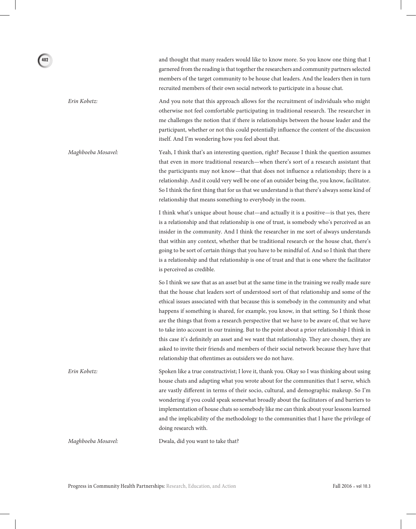and thought that many readers would like to know more. So you know one thing that I garnered from the reading is that together the researchers and community partners selected members of the target community to be house chat leaders. And the leaders then in turn recruited members of their own social network to participate in a house chat.

*Erin Kobetz:* And you note that this approach allows for the recruitment of individuals who might otherwise not feel comfortable participating in traditional research. The researcher in me challenges the notion that if there is relationships between the house leader and the participant, whether or not this could potentially influence the content of the discussion itself. And I'm wondering how you feel about that.

*Maghboeba Mosavel:* Yeah, I think that's an interesting question, right? Because I think the question assumes that even in more traditional research—when there's sort of a research assistant that the participants may not know—that that does not influence a relationship; there is a relationship. And it could very well be one of an outsider being the, you know, facilitator. So I think the first thing that for us that we understand is that there's always some kind of relationship that means something to everybody in the room.

> I think what's unique about house chat—and actually it is a positive—is that yes, there is a relationship and that relationship is one of trust, is somebody who's perceived as an insider in the community. And I think the researcher in me sort of always understands that within any context, whether that be traditional research or the house chat, there's going to be sort of certain things that you have to be mindful of. And so I think that there is a relationship and that relationship is one of trust and that is one where the facilitator is perceived as credible.

> So I think we saw that as an asset but at the same time in the training we really made sure that the house chat leaders sort of understood sort of that relationship and some of the ethical issues associated with that because this is somebody in the community and what happens if something is shared, for example, you know, in that setting. So I think those are the things that from a research perspective that we have to be aware of, that we have to take into account in our training. But to the point about a prior relationship I think in this case it's definitely an asset and we want that relationship. They are chosen, they are asked to invite their friends and members of their social network because they have that relationship that oftentimes as outsiders we do not have.

*Erin Kobetz:* Spoken like a true constructivist; I love it, thank you. Okay so I was thinking about using house chats and adapting what you wrote about for the communities that I serve, which are vastly different in terms of their socio, cultural, and demographic makeup. So I'm wondering if you could speak somewhat broadly about the facilitators of and barriers to implementation of house chats so somebody like me can think about your lessons learned and the implicability of the methodology to the communities that I have the privilege of doing research with.

*Maghboeba Mosavel:* Dwala, did you want to take that?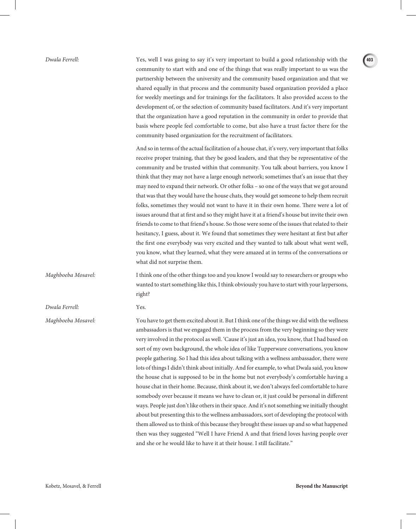*Dwala Ferrell:* Yes, well I was going to say it's very important to build a good relationship with the community to start with and one of the things that was really important to us was the partnership between the university and the community based organization and that we shared equally in that process and the community based organization provided a place for weekly meetings and for trainings for the facilitators. It also provided access to the development of, or the selection of community based facilitators. And it's very important that the organization have a good reputation in the community in order to provide that basis where people feel comfortable to come, but also have a trust factor there for the community based organization for the recruitment of facilitators. And so in terms of the actual facilitation of a house chat, it's very, very important that folks receive proper training, that they be good leaders, and that they be representative of the community and be trusted within that community. You talk about barriers, you know I think that they may not have a large enough network; sometimes that's an issue that they may need to expand their network. Or other folks – so one of the ways that we got around that was that they would have the house chats, they would get someone to help them recruit folks, sometimes they would not want to have it in their own home. There were a lot of issues around that at first and so they might have it at a friend's house but invite their own friends to come to that friend's house. So those were some of the issues that related to their hesitancy, I guess, about it. We found that sometimes they were hesitant at first but after the first one everybody was very excited and they wanted to talk about what went well, you know, what they learned, what they were amazed at in terms of the conversations or what did not surprise them. *Maghboeba Mosavel:* I think one of the other things too and you know I would say to researchers or groups who wanted to start something like this, I think obviously you have to start with your laypersons, right? *Dwala Ferrell:* Yes. *Maghboeba Mosavel:* You have to get them excited about it. But I think one of the things we did with the wellness ambassadors is that we engaged them in the process from the very beginning so they were very involved in the protocol as well. 'Cause it's just an idea, you know, that I had based on sort of my own background, the whole idea of like Tupperware conversations, you know people gathering. So I had this idea about talking with a wellness ambassador, there were lots of things I didn't think about initially. And for example, to what Dwala said, you know the house chat is supposed to be in the home but not everybody's comfortable having a house chat in their home. Because, think about it, we don't always feel comfortable to have somebody over because it means we have to clean or, it just could be personal in different ways. People just don't like others in their space. And it's not something we initially thought about but presenting this to the wellness ambassadors, sort of developing the protocol with them allowed us to think of this because they brought these issues up and so what happened then was they suggested "Well I have Friend A and that friend loves having people over and she or he would like to have it at their house. I still facilitate."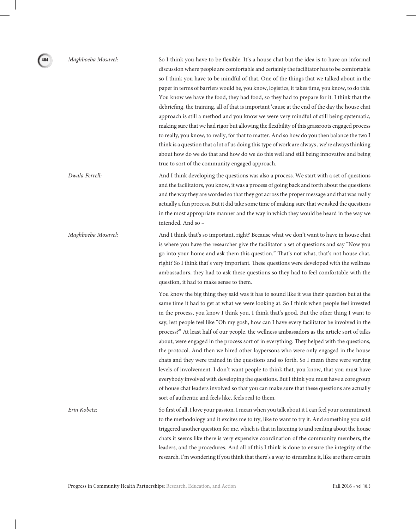*Maghboeba Mosavel:* So I think you have to be flexible. It's a house chat but the idea is to have an informal discussion where people are comfortable and certainly the facilitator has to be comfortable so I think you have to be mindful of that. One of the things that we talked about in the paper in terms of barriers would be, you know, logistics, it takes time, you know, to do this. You know we have the food, they had food, so they had to prepare for it. I think that the debriefing, the training, all of that is important 'cause at the end of the day the house chat approach is still a method and you know we were very mindful of still being systematic, making sure that we had rigor but allowing the flexibility of this grassroots engaged process to really, you know, to really, for that to matter. And so how do you then balance the two I think is a question that a lot of us doing this type of work are always , we're always thinking about how do we do that and how do we do this well and still being innovative and being true to sort of the community engaged approach.

*Dwala Ferrell:* And I think developing the questions was also a process. We start with a set of questions and the facilitators, you know, it was a process of going back and forth about the questions and the way they are worded so that they got across the proper message and that was really actually a fun process. But it did take some time of making sure that we asked the questions in the most appropriate manner and the way in which they would be heard in the way we intended. And so –

*Maghboeba Mosavel:* And I think that's so important, right? Because what we don't want to have in house chat is where you have the researcher give the facilitator a set of questions and say "Now you go into your home and ask them this question." That's not what, that's not house chat, right? So I think that's very important. These questions were developed with the wellness ambassadors, they had to ask these questions so they had to feel comfortable with the question, it had to make sense to them.

> You know the big thing they said was it has to sound like it was their question but at the same time it had to get at what we were looking at. So I think when people feel invested in the process, you know I think you, I think that's good. But the other thing I want to say, lest people feel like "Oh my gosh, how can I have every facilitator be involved in the process?" At least half of our people, the wellness ambassadors as the article sort of talks about, were engaged in the process sort of in everything. They helped with the questions, the protocol. And then we hired other laypersons who were only engaged in the house chats and they were trained in the questions and so forth. So I mean there were varying levels of involvement. I don't want people to think that, you know, that you must have everybody involved with developing the questions. But I think you must have a core group of house chat leaders involved so that you can make sure that these questions are actually sort of authentic and feels like, feels real to them.

*Erin Kobetz:* So first of all, I love your passion. I mean when you talk about it I can feel your commitment to the methodology and it excites me to try, like to want to try it. And something you said triggered another question for me, which is that in listening to and reading about the house chats it seems like there is very expensive coordination of the community members, the leaders, and the procedures. And all of this I think is done to ensure the integrity of the research. I'm wondering if you think that there's a way to streamline it, like are there certain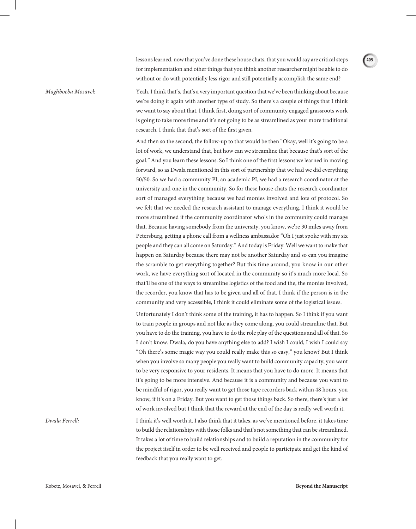lessons learned, now that you've done these house chats, that you would say are critical steps for implementation and other things that you think another researcher might be able to do without or do with potentially less rigor and still potentially accomplish the same end?

*Maghboeba Mosavel:* Yeah, I think that's, that's a very important question that we've been thinking about because we're doing it again with another type of study. So there's a couple of things that I think we want to say about that. I think first, doing sort of community engaged grassroots work is going to take more time and it's not going to be as streamlined as your more traditional research. I think that that's sort of the first given.

> And then so the second, the follow-up to that would be then "Okay, well it's going to be a lot of work, we understand that, but how can we streamline that because that's sort of the goal." And you learn these lessons. So I think one of the first lessons we learned in moving forward, so as Dwala mentioned in this sort of partnership that we had we did everything 50/50. So we had a community PI, an academic PI, we had a research coordinator at the university and one in the community. So for these house chats the research coordinator sort of managed everything because we had monies involved and lots of protocol. So we felt that we needed the research assistant to manage everything. I think it would be more streamlined if the community coordinator who's in the community could manage that. Because having somebody from the university, you know, we're 30 miles away from Petersburg, getting a phone call from a wellness ambassador "Oh I just spoke with my six people and they can all come on Saturday." And today is Friday. Well we want to make that happen on Saturday because there may not be another Saturday and so can you imagine the scramble to get everything together? But this time around, you know in our other work, we have everything sort of located in the community so it's much more local. So that'll be one of the ways to streamline logistics of the food and the, the monies involved, the recorder, you know that has to be given and all of that. I think if the person is in the community and very accessible, I think it could eliminate some of the logistical issues.

> Unfortunately I don't think some of the training, it has to happen. So I think if you want to train people in groups and not like as they come along, you could streamline that. But you have to do the training, you have to do the role play of the questions and all of that. So I don't know. Dwala, do you have anything else to add? I wish I could, I wish I could say "Oh there's some magic way you could really make this so easy," you know? But I think when you involve so many people you really want to build community capacity, you want to be very responsive to your residents. It means that you have to do more. It means that it's going to be more intensive. And because it is a community and because you want to be mindful of rigor, you really want to get those tape recorders back within 48 hours, you know, if it's on a Friday. But you want to get those things back. So there, there's just a lot of work involved but I think that the reward at the end of the day is really well worth it.

*Dwala Ferrell:* I think it's well worth it. I also think that it takes, as we've mentioned before, it takes time to build the relationships with those folks and that's not something that can be streamlined. It takes a lot of time to build relationships and to build a reputation in the community for the project itself in order to be well received and people to participate and get the kind of feedback that you really want to get.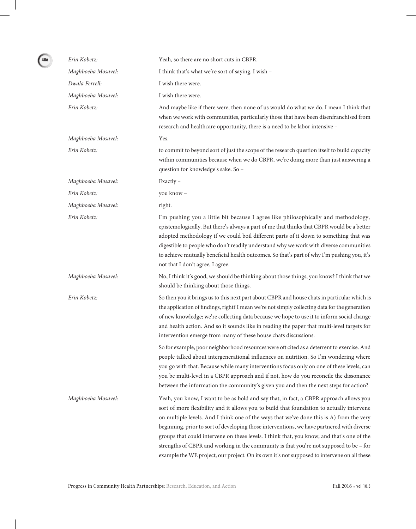| Erin Kobetz:       | Yeah, so there are no short cuts in CBPR.                                                                                                                                                                                                                                                                                                                                                                                                                                                                                                                                                                                                                            |
|--------------------|----------------------------------------------------------------------------------------------------------------------------------------------------------------------------------------------------------------------------------------------------------------------------------------------------------------------------------------------------------------------------------------------------------------------------------------------------------------------------------------------------------------------------------------------------------------------------------------------------------------------------------------------------------------------|
| Maghboeba Mosavel: | I think that's what we're sort of saying. I wish -                                                                                                                                                                                                                                                                                                                                                                                                                                                                                                                                                                                                                   |
| Dwala Ferrell:     | I wish there were.                                                                                                                                                                                                                                                                                                                                                                                                                                                                                                                                                                                                                                                   |
| Maghboeba Mosavel: | I wish there were.                                                                                                                                                                                                                                                                                                                                                                                                                                                                                                                                                                                                                                                   |
| Erin Kobetz:       | And maybe like if there were, then none of us would do what we do. I mean I think that<br>when we work with communities, particularly those that have been disenfranchised from<br>research and healthcare opportunity, there is a need to be labor intensive -                                                                                                                                                                                                                                                                                                                                                                                                      |
| Maghboeba Mosavel: | Yes.                                                                                                                                                                                                                                                                                                                                                                                                                                                                                                                                                                                                                                                                 |
| Erin Kobetz:       | to commit to beyond sort of just the scope of the research question itself to build capacity<br>within communities because when we do CBPR, we're doing more than just answering a<br>question for knowledge's sake. So -                                                                                                                                                                                                                                                                                                                                                                                                                                            |
| Maghboeba Mosavel: | Exactly -                                                                                                                                                                                                                                                                                                                                                                                                                                                                                                                                                                                                                                                            |
| Erin Kobetz:       | you know -                                                                                                                                                                                                                                                                                                                                                                                                                                                                                                                                                                                                                                                           |
| Maghboeba Mosavel: | right.                                                                                                                                                                                                                                                                                                                                                                                                                                                                                                                                                                                                                                                               |
| Erin Kobetz:       | I'm pushing you a little bit because I agree like philosophically and methodology,<br>epistemologically. But there's always a part of me that thinks that CBPR would be a better<br>adopted methodology if we could boil different parts of it down to something that was<br>digestible to people who don't readily understand why we work with diverse communities<br>to achieve mutually beneficial health outcomes. So that's part of why I'm pushing you, it's<br>not that I don't agree, I agree.                                                                                                                                                               |
| Maghboeba Mosavel: | No, I think it's good, we should be thinking about those things, you know? I think that we<br>should be thinking about those things.                                                                                                                                                                                                                                                                                                                                                                                                                                                                                                                                 |
| Erin Kobetz:       | So then you it brings us to this next part about CBPR and house chats in particular which is<br>the application of findings, right? I mean we're not simply collecting data for the generation<br>of new knowledge; we're collecting data because we hope to use it to inform social change<br>and health action. And so it sounds like in reading the paper that multi-level targets for<br>intervention emerge from many of these house chats discussions.                                                                                                                                                                                                         |
|                    | So for example, poor neighborhood resources were oft cited as a deterrent to exercise. And<br>people talked about intergenerational influences on nutrition. So I'm wondering where<br>you go with that. Because while many interventions focus only on one of these levels, can<br>you be multi-level in a CBPR approach and if not, how do you reconcile the dissonance<br>between the information the community's given you and then the next steps for action?                                                                                                                                                                                                   |
| Maghboeba Mosavel: | Yeah, you know, I want to be as bold and say that, in fact, a CBPR approach allows you<br>sort of more flexibility and it allows you to build that foundation to actually intervene<br>on multiple levels. And I think one of the ways that we've done this is A) from the very<br>beginning, prior to sort of developing those interventions, we have partnered with diverse<br>groups that could intervene on these levels. I think that, you know, and that's one of the<br>strengths of CBPR and working in the community is that you're not supposed to be - for<br>example the WE project, our project. On its own it's not supposed to intervene on all these |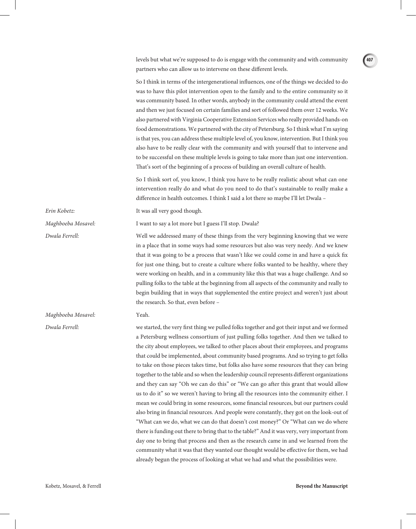levels but what we're supposed to do is engage with the community and with community partners who can allow us to intervene on these different levels.

So I think in terms of the intergenerational influences, one of the things we decided to do was to have this pilot intervention open to the family and to the entire community so it was community based. In other words, anybody in the community could attend the event and then we just focused on certain families and sort of followed them over 12 weeks. We also partnered with Virginia Cooperative Extension Services who really provided hands-on food demonstrations. We partnered with the city of Petersburg. So I think what I'm saying is that yes, you can address these multiple level of, you know, intervention. But I think you also have to be really clear with the community and with yourself that to intervene and to be successful on these multiple levels is going to take more than just one intervention. That's sort of the beginning of a process of building an overall culture of health.

So I think sort of, you know, I think you have to be really realistic about what can one intervention really do and what do you need to do that's sustainable to really make a difference in health outcomes. I think I said a lot there so maybe I'll let Dwala –

*Erin Kobetz:* It was all very good though.

*Maghboeba Mosavel:* I want to say a lot more but I guess I'll stop. Dwala?

*Dwala Ferrell:* Well we addressed many of these things from the very beginning knowing that we were in a place that in some ways had some resources but also was very needy. And we knew that it was going to be a process that wasn't like we could come in and have a quick fix for just one thing, but to create a culture where folks wanted to be healthy, where they were working on health, and in a community like this that was a huge challenge. And so pulling folks to the table at the beginning from all aspects of the community and really to begin building that in ways that supplemented the entire project and weren't just about the research. So that, even before –

#### *Maghboeba Mosavel:* Yeah.

*Dwala Ferrell:* we started, the very first thing we pulled folks together and got their input and we formed a Petersburg wellness consortium of just pulling folks together. And then we talked to the city about employees, we talked to other places about their employees, and programs that could be implemented, about community based programs. And so trying to get folks to take on those pieces takes time, but folks also have some resources that they can bring together to the table and so when the leadership council represents different organizations and they can say "Oh we can do this" or "We can go after this grant that would allow us to do it" so we weren't having to bring all the resources into the community either. I mean we could bring in some resources, some financial resources, but our partners could also bring in financial resources. And people were constantly, they got on the look-out of "What can we do, what we can do that doesn't cost money?" Or "What can we do where there is funding out there to bring that to the table?" And it was very, very important from day one to bring that process and then as the research came in and we learned from the community what it was that they wanted our thought would be effective for them, we had already begun the process of looking at what we had and what the possibilities were.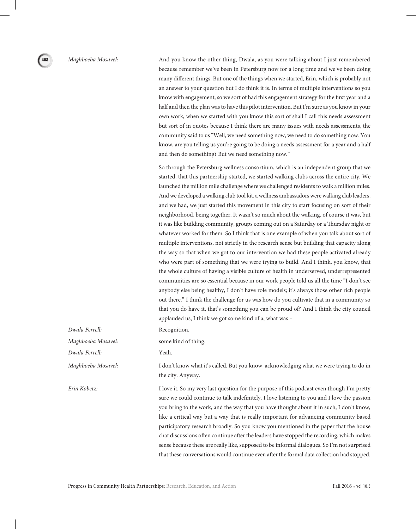*Maghboeba Mosavel:* And you know the other thing, Dwala, as you were talking about I just remembered because remember we've been in Petersburg now for a long time and we've been doing many different things. But one of the things when we started, Erin, which is probably not an answer to your question but I do think it is. In terms of multiple interventions so you know with engagement, so we sort of had this engagement strategy for the first year and a half and then the plan was to have this pilot intervention. But I'm sure as you know in your own work, when we started with you know this sort of shall I call this needs assessment but sort of in quotes because I think there are many issues with needs assessments, the community said to us "Well, we need something now, we need to do something now. You know, are you telling us you're going to be doing a needs assessment for a year and a half and then do something? But we need something now."

> So through the Petersburg wellness consortium, which is an independent group that we started, that this partnership started, we started walking clubs across the entire city. We launched the million mile challenge where we challenged residents to walk a million miles. And we developed a walking club tool kit, a wellness ambassadors were walking club leaders, and we had, we just started this movement in this city to start focusing on sort of their neighborhood, being together. It wasn't so much about the walking, of course it was, but it was like building community, groups coming out on a Saturday or a Thursday night or whatever worked for them. So I think that is one example of when you talk about sort of multiple interventions, not strictly in the research sense but building that capacity along the way so that when we got to our intervention we had these people activated already who were part of something that we were trying to build. And I think, you know, that the whole culture of having a visible culture of health in underserved, underrepresented communities are so essential because in our work people told us all the time "I don't see anybody else being healthy, I don't have role models; it's always those other rich people out there." I think the challenge for us was how do you cultivate that in a community so that you do have it, that's something you can be proud of? And I think the city council applauded us, I think we got some kind of a, what was –

*Dwala Ferrell:* Recognition.

*Maghboeba Mosavel:* some kind of thing.

*Maghboeba Mosavel:* I don't know what it's called. But you know, acknowledging what we were trying to do in the city. Anyway.

*Erin Kobetz:* I love it. So my very last question for the purpose of this podcast even though I'm pretty sure we could continue to talk indefinitely. I love listening to you and I love the passion you bring to the work, and the way that you have thought about it in such, I don't know, like a critical way but a way that is really important for advancing community based participatory research broadly. So you know you mentioned in the paper that the house chat discussions often continue after the leaders have stopped the recording, which makes sense because these are really like, supposed to be informal dialogues. So I'm not surprised that these conversations would continue even after the formal data collection had stopped.

*Dwala Ferrell:* Yeah.

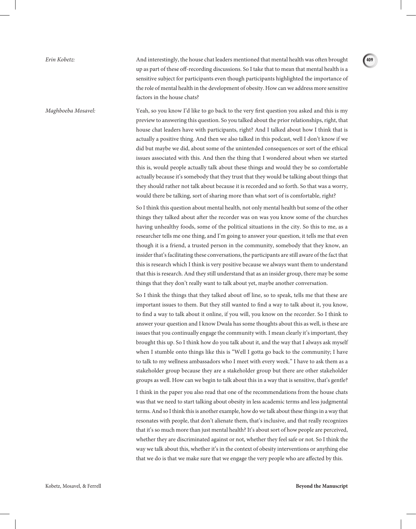*Erin Kobetz:* And interestingly, the house chat leaders mentioned that mental health was often brought up as part of these off-recording discussions. So I take that to mean that mental health is a sensitive subject for participants even though participants highlighted the importance of the role of mental health in the development of obesity. How can we address more sensitive factors in the house chats?

*Maghboeba Mosavel:* Yeah, so you know I'd like to go back to the very first question you asked and this is my preview to answering this question. So you talked about the prior relationships, right, that house chat leaders have with participants, right? And I talked about how I think that is actually a positive thing. And then we also talked in this podcast, well I don't know if we did but maybe we did, about some of the unintended consequences or sort of the ethical issues associated with this. And then the thing that I wondered about when we started this is, would people actually talk about these things and would they be so comfortable actually because it's somebody that they trust that they would be talking about things that they should rather not talk about because it is recorded and so forth. So that was a worry, would there be talking, sort of sharing more than what sort of is comfortable, right?

> So I think this question about mental health, not only mental health but some of the other things they talked about after the recorder was on was you know some of the churches having unhealthy foods, some of the political situations in the city. So this to me, as a researcher tells me one thing, and I'm going to answer your question, it tells me that even though it is a friend, a trusted person in the community, somebody that they know, an insider that's facilitating these conversations, the participants are still aware of the fact that this is research which I think is very positive because we always want them to understand that this is research. And they still understand that as an insider group, there may be some things that they don't really want to talk about yet, maybe another conversation.

> So I think the things that they talked about off line, so to speak, tells me that these are important issues to them. But they still wanted to find a way to talk about it, you know, to find a way to talk about it online, if you will, you know on the recorder. So I think to answer your question and I know Dwala has some thoughts about this as well, is these are issues that you continually engage the community with. I mean clearly it's important, they brought this up. So I think how do you talk about it, and the way that I always ask myself when I stumble onto things like this is "Well I gotta go back to the community; I have to talk to my wellness ambassadors who I meet with every week." I have to ask them as a stakeholder group because they are a stakeholder group but there are other stakeholder groups as well. How can we begin to talk about this in a way that is sensitive, that's gentle?

> I think in the paper you also read that one of the recommendations from the house chats was that we need to start talking about obesity in less academic terms and less judgmental terms. And so I think this is another example, how do we talk about these things in a way that resonates with people, that don't alienate them, that's inclusive, and that really recognizes that it's so much more than just mental health? It's about sort of how people are perceived, whether they are discriminated against or not, whether they feel safe or not. So I think the way we talk about this, whether it's in the context of obesity interventions or anything else that we do is that we make sure that we engage the very people who are affected by this.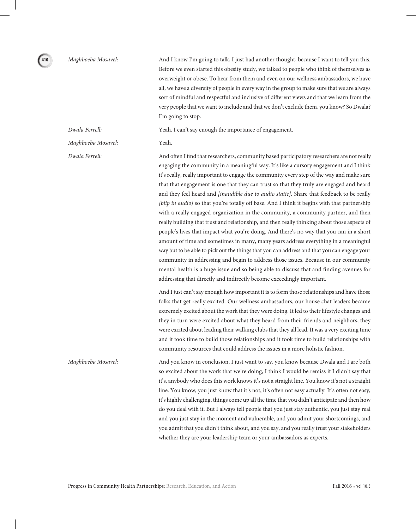*Maghboeba Mosavel:* And I know I'm going to talk, I just had another thought, because I want to tell you this. Before we even started this obesity study, we talked to people who think of themselves as overweight or obese. To hear from them and even on our wellness ambassadors, we have all, we have a diversity of people in every way in the group to make sure that we are always sort of mindful and respectful and inclusive of different views and that we learn from the very people that we want to include and that we don't exclude them, you know? So Dwala? I'm going to stop.

*Dwala Ferrell:* Yeah, I can't say enough the importance of engagement.

*Maghboeba Mosavel:* Yeah.

**410**

*Dwala Ferrell:* And often I find that researchers, community based participatory researchers are not really engaging the community in a meaningful way. It's like a cursory engagement and I think it's really, really important to engage the community every step of the way and make sure that that engagement is one that they can trust so that they truly are engaged and heard and they feel heard and *[inaudible due to audio static]*. Share that feedback to be really *[blip in audio]* so that you're totally off base. And I think it begins with that partnership with a really engaged organization in the community, a community partner, and then really building that trust and relationship, and then really thinking about those aspects of people's lives that impact what you're doing. And there's no way that you can in a short amount of time and sometimes in many, many years address everything in a meaningful way but to be able to pick out the things that you can address and that you can engage your community in addressing and begin to address those issues. Because in our community mental health is a huge issue and so being able to discuss that and finding avenues for addressing that directly and indirectly become exceedingly important.

> And I just can't say enough how important it is to form those relationships and have those folks that get really excited. Our wellness ambassadors, our house chat leaders became extremely excited about the work that they were doing. It led to their lifestyle changes and they in turn were excited about what they heard from their friends and neighbors, they were excited about leading their walking clubs that they all lead. It was a very exciting time and it took time to build those relationships and it took time to build relationships with community resources that could address the issues in a more holistic fashion.

*Maghboeba Mosavel:* And you know in conclusion, I just want to say, you know because Dwala and I are both so excited about the work that we're doing, I think I would be remiss if I didn't say that it's, anybody who does this work knows it's not a straight line. You know it's not a straight line. You know, you just know that it's not, it's often not easy actually. It's often not easy, it's highly challenging, things come up all the time that you didn't anticipate and then how do you deal with it. But I always tell people that you just stay authentic, you just stay real and you just stay in the moment and vulnerable, and you admit your shortcomings, and you admit that you didn't think about, and you say, and you really trust your stakeholders whether they are your leadership team or your ambassadors as experts.